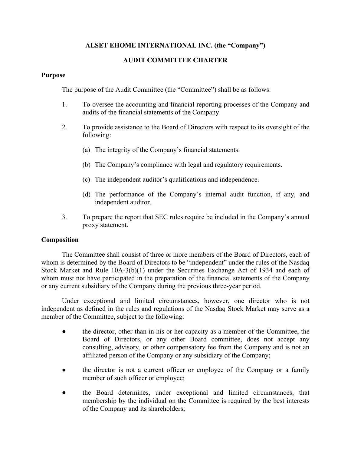# **ALSET EHOME INTERNATIONAL INC. (the "Company")**

# **AUDIT COMMITTEE CHARTER**

# **Purpose**

The purpose of the Audit Committee (the "Committee") shall be as follows:

- 1. To oversee the accounting and financial reporting processes of the Company and audits of the financial statements of the Company.
- 2. To provide assistance to the Board of Directors with respect to its oversight of the following:
	- (a) The integrity of the Company's financial statements.
	- (b) The Company's compliance with legal and regulatory requirements.
	- (c) The independent auditor's qualifications and independence.
	- (d) The performance of the Company's internal audit function, if any, and independent auditor.
- 3. To prepare the report that SEC rules require be included in the Company's annual proxy statement.

# **Composition**

The Committee shall consist of three or more members of the Board of Directors, each of whom is determined by the Board of Directors to be "independent" under the rules of the Nasdaq Stock Market and Rule 10A-3(b)(1) under the Securities Exchange Act of 1934 and each of whom must not have participated in the preparation of the financial statements of the Company or any current subsidiary of the Company during the previous three-year period.

Under exceptional and limited circumstances, however, one director who is not independent as defined in the rules and regulations of the Nasdaq Stock Market may serve as a member of the Committee, subject to the following:

- **●** the director, other than in his or her capacity as a member of the Committee, the Board of Directors, or any other Board committee, does not accept any consulting, advisory, or other compensatory fee from the Company and is not an affiliated person of the Company or any subsidiary of the Company;
- **●** the director is not a current officer or employee of the Company or a family member of such officer or employee;
- **●** the Board determines, under exceptional and limited circumstances, that membership by the individual on the Committee is required by the best interests of the Company and its shareholders;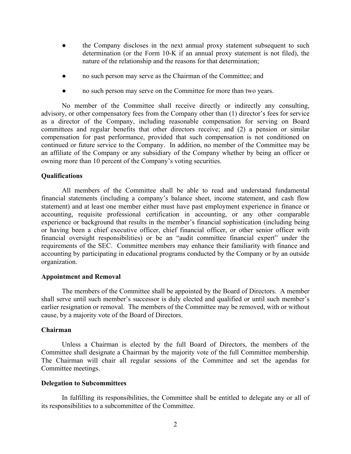- **●** the Company discloses in the next annual proxy statement subsequent to such determination (or the Form 10-K if an annual proxy statement is not filed), the nature of the relationship and the reasons for that determination;
- no such person may serve as the Chairman of the Committee; and
- **●** no such person may serve on the Committee for more than two years.

No member of the Committee shall receive directly or indirectly any consulting, advisory, or other compensatory fees from the Company other than (1) director's fees for service as a director of the Company, including reasonable compensation for serving on Board committees and regular benefits that other directors receive; and (2) a pension or similar compensation for past performance, provided that such compensation is not conditioned on continued or future service to the Company. In addition, no member of the Committee may be an affiliate of the Company or any subsidiary of the Company whether by being an officer or owning more than 10 percent of the Company's voting securities.

### **Qualifications**

All members of the Committee shall be able to read and understand fundamental financial statements (including a company's balance sheet, income statement, and cash flow statement) and at least one member either must have past employment experience in finance or accounting, requisite professional certification in accounting, or any other comparable experience or background that results in the member's financial sophistication (including being or having been a chief executive officer, chief financial officer, or other senior officer with financial oversight responsibilities) or be an "audit committee financial expert" under the requirements of the SEC. Committee members may enhance their familiarity with finance and accounting by participating in educational programs conducted by the Company or by an outside organization.

### **Appointment and Removal**

The members of the Committee shall be appointed by the Board of Directors. A member shall serve until such member's successor is duly elected and qualified or until such member's earlier resignation or removal. The members of the Committee may be removed, with or without cause, by a majority vote of the Board of Directors.

### **Chairman**

Unless a Chairman is elected by the full Board of Directors, the members of the Committee shall designate a Chairman by the majority vote of the full Committee membership. The Chairman will chair all regular sessions of the Committee and set the agendas for Committee meetings.

#### **Delegation to Subcommittees**

In fulfilling its responsibilities, the Committee shall be entitled to delegate any or all of its responsibilities to a subcommittee of the Committee.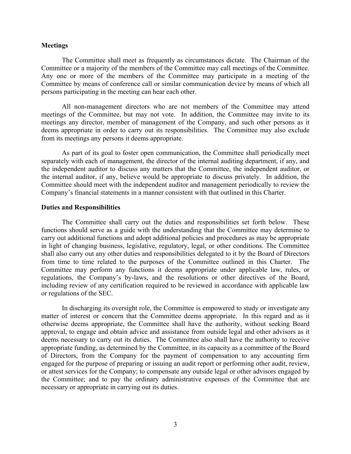#### **Meetings**

The Committee shall meet as frequently as circumstances dictate. The Chairman of the Committee or a majority of the members of the Committee may call meetings of the Committee. Any one or more of the members of the Committee may participate in a meeting of the Committee by means of conference call or similar communication device by means of which all persons participating in the meeting can hear each other.

All non-management directors who are not members of the Committee may attend meetings of the Committee, but may not vote. In addition, the Committee may invite to its meetings any director, member of management of the Company, and such other persons as it deems appropriate in order to carry out its responsibilities. The Committee may also exclude from its meetings any persons it deems appropriate.

As part of its goal to foster open communication, the Committee shall periodically meet separately with each of management, the director of the internal auditing department, if any, and the independent auditor to discuss any matters that the Committee, the independent auditor, or the internal auditor, if any, believe would be appropriate to discuss privately. In addition, the Committee should meet with the independent auditor and management periodically to review the Company's financial statements in a manner consistent with that outlined in this Charter.

### **Duties and Responsibilities**

The Committee shall carry out the duties and responsibilities set forth below. These functions should serve as a guide with the understanding that the Committee may determine to carry out additional functions and adopt additional policies and procedures as may be appropriate in light of changing business, legislative, regulatory, legal, or other conditions. The Committee shall also carry out any other duties and responsibilities delegated to it by the Board of Directors from time to time related to the purposes of the Committee outlined in this Charter. The Committee may perform any functions it deems appropriate under applicable law, rules, or regulations, the Company's by-laws, and the resolutions or other directives of the Board, including review of any certification required to be reviewed in accordance with applicable law or regulations of the SEC.

In discharging its oversight role, the Committee is empowered to study or investigate any matter of interest or concern that the Committee deems appropriate. In this regard and as it otherwise deems appropriate, the Committee shall have the authority, without seeking Board approval, to engage and obtain advice and assistance from outside legal and other advisors as it deems necessary to carry out its duties. The Committee also shall have the authority to receive appropriate funding, as determined by the Committee, in its capacity as a committee of the Board of Directors, from the Company for the payment of compensation to any accounting firm engaged for the purpose of preparing or issuing an audit report or performing other audit, review, or attest services for the Company; to compensate any outside legal or other advisors engaged by the Committee; and to pay the ordinary administrative expenses of the Committee that are necessary or appropriate in carrying out its duties.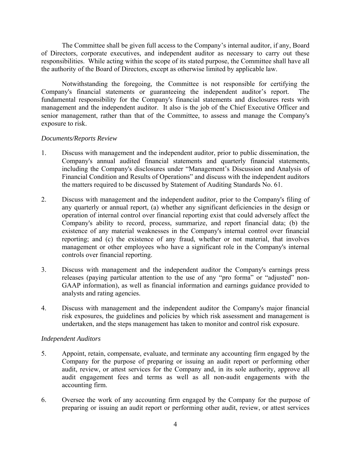The Committee shall be given full access to the Company's internal auditor, if any, Board of Directors, corporate executives, and independent auditor as necessary to carry out these responsibilities. While acting within the scope of its stated purpose, the Committee shall have all the authority of the Board of Directors, except as otherwise limited by applicable law.

Notwithstanding the foregoing, the Committee is not responsible for certifying the Company's financial statements or guaranteeing the independent auditor's report. The fundamental responsibility for the Company's financial statements and disclosures rests with management and the independent auditor. It also is the job of the Chief Executive Officer and senior management, rather than that of the Committee, to assess and manage the Company's exposure to risk.

# *Documents/Reports Review*

- 1. Discuss with management and the independent auditor, prior to public dissemination, the Company's annual audited financial statements and quarterly financial statements, including the Company's disclosures under "Management's Discussion and Analysis of Financial Condition and Results of Operations" and discuss with the independent auditors the matters required to be discussed by Statement of Auditing Standards No. 61.
- 2. Discuss with management and the independent auditor, prior to the Company's filing of any quarterly or annual report, (a) whether any significant deficiencies in the design or operation of internal control over financial reporting exist that could adversely affect the Company's ability to record, process, summarize, and report financial data; (b) the existence of any material weaknesses in the Company's internal control over financial reporting; and (c) the existence of any fraud, whether or not material, that involves management or other employees who have a significant role in the Company's internal controls over financial reporting.
- 3. Discuss with management and the independent auditor the Company's earnings press releases (paying particular attention to the use of any "pro forma" or "adjusted" non-GAAP information), as well as financial information and earnings guidance provided to analysts and rating agencies.
- 4. Discuss with management and the independent auditor the Company's major financial risk exposures, the guidelines and policies by which risk assessment and management is undertaken, and the steps management has taken to monitor and control risk exposure.

# *Independent Auditors*

- 5. Appoint, retain, compensate, evaluate, and terminate any accounting firm engaged by the Company for the purpose of preparing or issuing an audit report or performing other audit, review, or attest services for the Company and, in its sole authority, approve all audit engagement fees and terms as well as all non-audit engagements with the accounting firm.
- 6. Oversee the work of any accounting firm engaged by the Company for the purpose of preparing or issuing an audit report or performing other audit, review, or attest services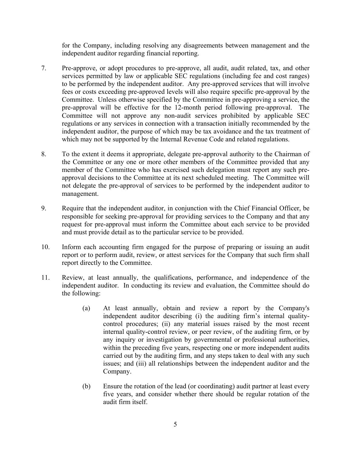for the Company, including resolving any disagreements between management and the independent auditor regarding financial reporting.

- 7. Pre-approve, or adopt procedures to pre-approve, all audit, audit related, tax, and other services permitted by law or applicable SEC regulations (including fee and cost ranges) to be performed by the independent auditor. Any pre-approved services that will involve fees or costs exceeding pre-approved levels will also require specific pre-approval by the Committee. Unless otherwise specified by the Committee in pre-approving a service, the pre-approval will be effective for the 12-month period following pre-approval. The Committee will not approve any non-audit services prohibited by applicable SEC regulations or any services in connection with a transaction initially recommended by the independent auditor, the purpose of which may be tax avoidance and the tax treatment of which may not be supported by the Internal Revenue Code and related regulations.
- 8. To the extent it deems it appropriate, delegate pre-approval authority to the Chairman of the Committee or any one or more other members of the Committee provided that any member of the Committee who has exercised such delegation must report any such preapproval decisions to the Committee at its next scheduled meeting. The Committee will not delegate the pre-approval of services to be performed by the independent auditor to management.
- 9. Require that the independent auditor, in conjunction with the Chief Financial Officer, be responsible for seeking pre-approval for providing services to the Company and that any request for pre-approval must inform the Committee about each service to be provided and must provide detail as to the particular service to be provided.
- 10. Inform each accounting firm engaged for the purpose of preparing or issuing an audit report or to perform audit, review, or attest services for the Company that such firm shall report directly to the Committee.
- 11. Review, at least annually, the qualifications, performance, and independence of the independent auditor. In conducting its review and evaluation, the Committee should do the following:
	- (a) At least annually, obtain and review a report by the Company's independent auditor describing (i) the auditing firm's internal qualitycontrol procedures; (ii) any material issues raised by the most recent internal quality-control review, or peer review, of the auditing firm, or by any inquiry or investigation by governmental or professional authorities, within the preceding five years, respecting one or more independent audits carried out by the auditing firm, and any steps taken to deal with any such issues; and (iii) all relationships between the independent auditor and the Company.
	- (b) Ensure the rotation of the lead (or coordinating) audit partner at least every five years, and consider whether there should be regular rotation of the audit firm itself.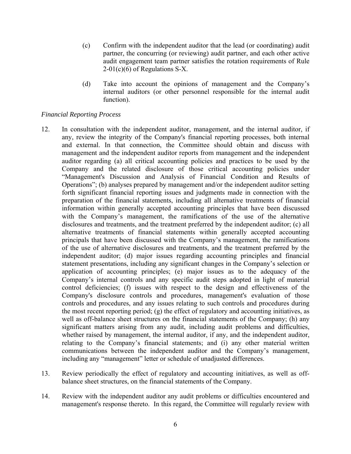- (c) Confirm with the independent auditor that the lead (or coordinating) audit partner, the concurring (or reviewing) audit partner, and each other active audit engagement team partner satisfies the rotation requirements of Rule 2-01(c)(6) of Regulations S-X.
- (d) Take into account the opinions of management and the Company's internal auditors (or other personnel responsible for the internal audit function).

# *Financial Reporting Process*

- 12. In consultation with the independent auditor, management, and the internal auditor, if any, review the integrity of the Company's financial reporting processes, both internal and external. In that connection, the Committee should obtain and discuss with management and the independent auditor reports from management and the independent auditor regarding (a) all critical accounting policies and practices to be used by the Company and the related disclosure of those critical accounting policies under "Management's Discussion and Analysis of Financial Condition and Results of Operations"; (b) analyses prepared by management and/or the independent auditor setting forth significant financial reporting issues and judgments made in connection with the preparation of the financial statements, including all alternative treatments of financial information within generally accepted accounting principles that have been discussed with the Company's management, the ramifications of the use of the alternative disclosures and treatments, and the treatment preferred by the independent auditor; (c) all alternative treatments of financial statements within generally accepted accounting principals that have been discussed with the Company's management, the ramifications of the use of alternative disclosures and treatments, and the treatment preferred by the independent auditor; (d) major issues regarding accounting principles and financial statement presentations, including any significant changes in the Company's selection or application of accounting principles; (e) major issues as to the adequacy of the Company's internal controls and any specific audit steps adopted in light of material control deficiencies; (f) issues with respect to the design and effectiveness of the Company's disclosure controls and procedures, management's evaluation of those controls and procedures, and any issues relating to such controls and procedures during the most recent reporting period; (g) the effect of regulatory and accounting initiatives, as well as off-balance sheet structures on the financial statements of the Company; (h) any significant matters arising from any audit, including audit problems and difficulties, whether raised by management, the internal auditor, if any, and the independent auditor, relating to the Company's financial statements; and (i) any other material written communications between the independent auditor and the Company's management, including any "management" letter or schedule of unadjusted differences.
- 13. Review periodically the effect of regulatory and accounting initiatives, as well as offbalance sheet structures, on the financial statements of the Company.
- 14. Review with the independent auditor any audit problems or difficulties encountered and management's response thereto. In this regard, the Committee will regularly review with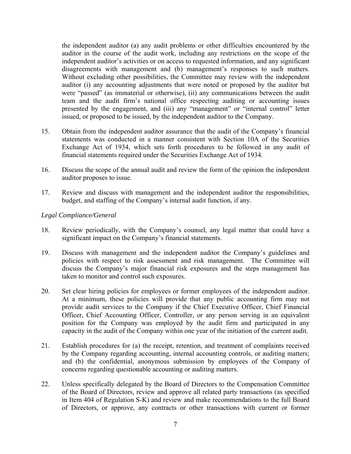the independent auditor (a) any audit problems or other difficulties encountered by the auditor in the course of the audit work, including any restrictions on the scope of the independent auditor's activities or on access to requested information, and any significant disagreements with management and (b) management's responses to such matters. Without excluding other possibilities, the Committee may review with the independent auditor (i) any accounting adjustments that were noted or proposed by the auditor but were "passed" (as immaterial or otherwise), (ii) any communications between the audit team and the audit firm's national office respecting auditing or accounting issues presented by the engagement, and (iii) any "management" or "internal control" letter issued, or proposed to be issued, by the independent auditor to the Company.

- 15. Obtain from the independent auditor assurance that the audit of the Company's financial statements was conducted in a manner consistent with Section 10A of the Securities Exchange Act of 1934, which sets forth procedures to be followed in any audit of financial statements required under the Securities Exchange Act of 1934.
- 16. Discuss the scope of the annual audit and review the form of the opinion the independent auditor proposes to issue.
- 17. Review and discuss with management and the independent auditor the responsibilities, budget, and staffing of the Company's internal audit function, if any.

# *Legal Compliance/General*

- 18. Review periodically, with the Company's counsel, any legal matter that could have a significant impact on the Company's financial statements.
- 19. Discuss with management and the independent auditor the Company's guidelines and policies with respect to risk assessment and risk management. The Committee will discuss the Company's major financial risk exposures and the steps management has taken to monitor and control such exposures.
- 20. Set clear hiring policies for employees or former employees of the independent auditor. At a minimum, these policies will provide that any public accounting firm may not provide audit services to the Company if the Chief Executive Officer, Chief Financial Officer, Chief Accounting Officer, Controller, or any person serving in an equivalent position for the Company was employed by the audit firm and participated in any capacity in the audit of the Company within one year of the initiation of the current audit.
- 21. Establish procedures for (a) the receipt, retention, and treatment of complaints received by the Company regarding accounting, internal accounting controls, or auditing matters; and (b) the confidential, anonymous submission by employees of the Company of concerns regarding questionable accounting or auditing matters.
- 22. Unless specifically delegated by the Board of Directors to the Compensation Committee of the Board of Directors, review and approve all related party transactions (as specified in Item 404 of Regulation S-K) and review and make recommendations to the full Board of Directors, or approve, any contracts or other transactions with current or former